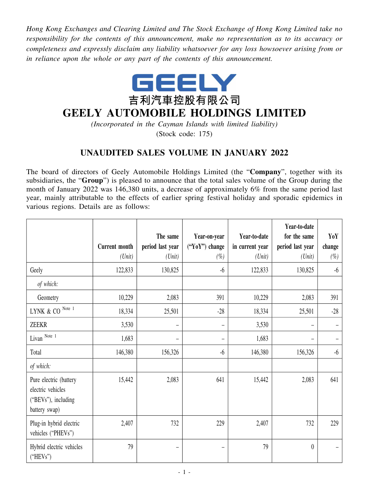*Hong Kong Exchanges and Clearing Limited and The Stock Exchange of Hong Kong Limited take no responsibility for the contents of this announcement, make no representation as to its accuracy or completeness and expressly disclaim any liability whatsoever for any loss howsoever arising from or in reliance upon the whole or any part of the contents of this announcement.*



## **GEELY AUTOMOBILE HOLDINGS LIMITED**

*(Incorporated in the Cayman Islands with limited liability)* (Stock code: 175)

## **UNAUDITED SALES VOLUME IN JANUARY 2022**

The board of directors of Geely Automobile Holdings Limited (the "**Company**", together with its subsidiaries, the "**Group**") is pleased to announce that the total sales volume of the Group during the month of January 2022 was 146,380 units, a decrease of approximately 6% from the same period last year, mainly attributable to the effects of earlier spring festival holiday and sporadic epidemics in various regions. Details are as follows:

|                                                                                     | <b>Current month</b> | The same<br>period last year | Year-on-year<br>$("YoY")$ change | Year-to-date<br>in current year | Year-to-date<br>for the same<br>period last year | YoY<br>change |
|-------------------------------------------------------------------------------------|----------------------|------------------------------|----------------------------------|---------------------------------|--------------------------------------------------|---------------|
|                                                                                     | (Unit)               | (Unit)                       | $(\%)$                           | (Unit)                          | (Unit)                                           | $(\%)$        |
| Geely                                                                               | 122,833              | 130,825                      | $-6$                             | 122,833                         | 130,825                                          | $-6$          |
| of which:                                                                           |                      |                              |                                  |                                 |                                                  |               |
| Geometry                                                                            | 10,229               | 2,083                        | 391                              | 10,229                          | 2,083                                            | 391           |
| LYNK & CO $^{\rm Note\ 1}$                                                          | 18,334               | 25,501                       | $-28$                            | 18,334                          | 25,501                                           | $-28$         |
| <b>ZEEKR</b>                                                                        | 3,530                |                              | $\qquad \qquad -$                | 3,530                           |                                                  |               |
| Livan Note 1                                                                        | 1,683                |                              | $\qquad \qquad -$                | 1,683                           |                                                  | -             |
| Total                                                                               | 146,380              | 156,326                      | $-6$                             | 146,380                         | 156,326                                          | $-6$          |
| of which:                                                                           |                      |                              |                                  |                                 |                                                  |               |
| Pure electric (battery<br>electric vehicles<br>("BEVs"), including<br>battery swap) | 15,442               | 2,083                        | 641                              | 15,442                          | 2,083                                            | 641           |
| Plug-in hybrid electric<br>vehicles ("PHEVs")                                       | 2,407                | 732                          | 229                              | 2,407                           | 732                                              | 229           |
| Hybrid electric vehicles<br>("HEVs")                                                | 79                   |                              |                                  | 79                              | $\boldsymbol{0}$                                 |               |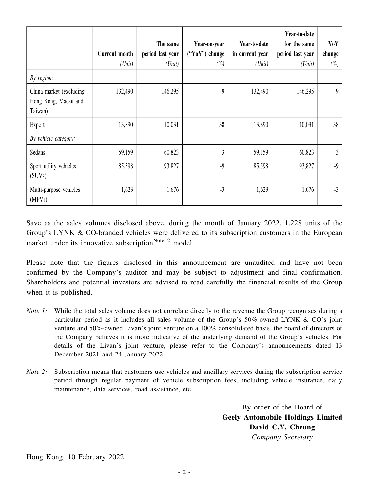|                                                            | <b>Current month</b><br>(Unit) | The same<br>period last year<br>(Unit) | Year-on-year<br>$("YoY")$ change<br>$(\%)$ | Year-to-date<br>in current year<br>(Unit) | Year-to-date<br>for the same<br>period last year<br>(Unit) | YoY<br>change<br>$(\%)$ |
|------------------------------------------------------------|--------------------------------|----------------------------------------|--------------------------------------------|-------------------------------------------|------------------------------------------------------------|-------------------------|
| By region:                                                 |                                |                                        |                                            |                                           |                                                            |                         |
| China market (excluding<br>Hong Kong, Macau and<br>Taiwan) | 132,490                        | 146,295                                | $-9$                                       | 132,490                                   | 146,295                                                    | $-9$                    |
| Export                                                     | 13,890                         | 10,031                                 | 38                                         | 13,890                                    | 10,031                                                     | 38                      |
| By vehicle category:                                       |                                |                                        |                                            |                                           |                                                            |                         |
| Sedans                                                     | 59,159                         | 60,823                                 | $-3$                                       | 59,159                                    | 60,823                                                     | $-3$                    |
| Sport utility vehicles<br>(SUVs)                           | 85,598                         | 93,827                                 | $-9$                                       | 85,598                                    | 93,827                                                     | $-9$                    |
| Multi-purpose vehicles<br>(MPVs)                           | 1,623                          | 1,676                                  | $-3$                                       | 1,623                                     | 1,676                                                      | $-3$                    |

Save as the sales volumes disclosed above, during the month of January 2022, 1,228 units of the Group's LYNK & CO-branded vehicles were delivered to its subscription customers in the European market under its innovative subscription<sup>Note 2</sup> model.

Please note that the figures disclosed in this announcement are unaudited and have not been confirmed by the Company's auditor and may be subject to adjustment and final confirmation. Shareholders and potential investors are advised to read carefully the financial results of the Group when it is published.

- *Note* 1: While the total sales volume does not correlate directly to the revenue the Group recognises during a particular period as it includes all sales volume of the Group's 50%-owned LYNK & CO's joint venture and 50%-owned Livan's joint venture on a 100% consolidated basis, the board of directors of the Company believes it is more indicative of the underlying demand of the Group's vehicles. For details of the Livan's joint venture, please refer to the Company's announcements dated 13 December 2021 and 24 January 2022.
- *Note* 2: Subscription means that customers use vehicles and ancillary services during the subscription service period through regular payment of vehicle subscription fees, including vehicle insurance, daily maintenance, data services, road assistance, etc.

By order of the Board of **Geely Automobile Holdings Limited David C.Y. Cheung** *Company Secretary*

Hong Kong, 10 February 2022